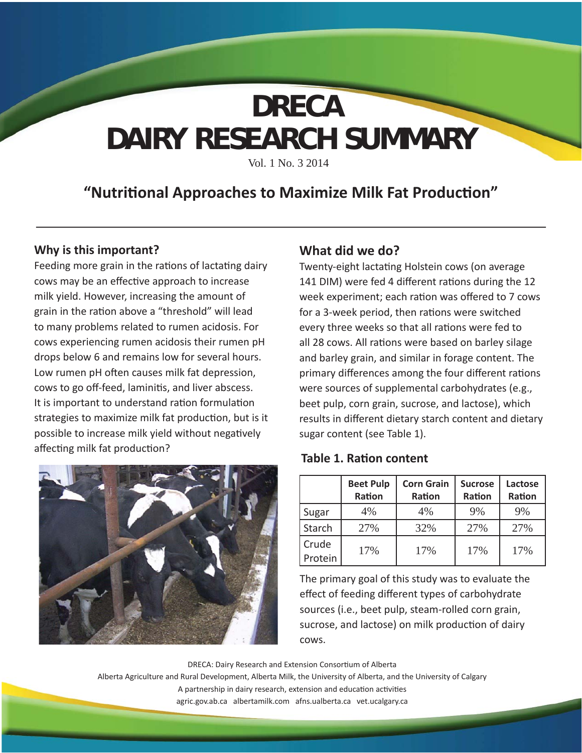# **DAIRY RESEARCH SUMMARY DRECA**

Vol. 1 No. 3 2014

# **"Nutriti onal Approaches to Maximize Milk Fat Producti on"**

## **Why is this important?**

Feeding more grain in the rations of lactating dairy cows may be an effective approach to increase milk yield. However, increasing the amount of grain in the ration above a "threshold" will lead to many problems related to rumen acidosis. For cows experiencing rumen acidosis their rumen pH drops below 6 and remains low for several hours. Low rumen pH often causes milk fat depression, cows to go off-feed, laminitis, and liver abscess. It is important to understand ration formulation strategies to maximize milk fat production, but is it possible to increase milk yield without negatively affecting milk fat production?



## **What did we do?**

Twenty-eight lactating Holstein cows (on average 141 DIM) were fed 4 different rations during the 12 week experiment; each ration was offered to 7 cows for a 3-week period, then rations were switched every three weeks so that all rations were fed to all 28 cows. All rations were based on barley silage and barley grain, and similar in forage content. The primary differences among the four different rations were sources of supplemental carbohydrates (e.g., beet pulp, corn grain, sucrose, and lactose), which results in different dietary starch content and dietary sugar content (see Table 1).

### **Table 1. Ration content**

|                  | <b>Beet Pulp</b><br>Ration | <b>Corn Grain</b><br>Ration | <b>Sucrose</b><br>Ration | Lactose<br>Ration |
|------------------|----------------------------|-----------------------------|--------------------------|-------------------|
| Sugar            | 4%                         | 4%                          | 9%                       | 9%                |
| Starch           | 27%                        | 32%                         | 27%                      | 27%               |
| Crude<br>Protein | 17%                        | 17%                         | 17%                      | 17%               |

The primary goal of this study was to evaluate the effect of feeding different types of carbohydrate sources (i.e., beet pulp, steam-rolled corn grain, sucrose, and lactose) on milk production of dairy cows.

DRECA: Dairy Research and Extension Consortium of Alberta Alberta Agriculture and Rural Development, Alberta Milk, the University of Alberta, and the University of Calgary A partnership in dairy research, extension and education activities agric.gov.ab.ca albertamilk.com afns.ualberta.ca vet.ucalgary.ca